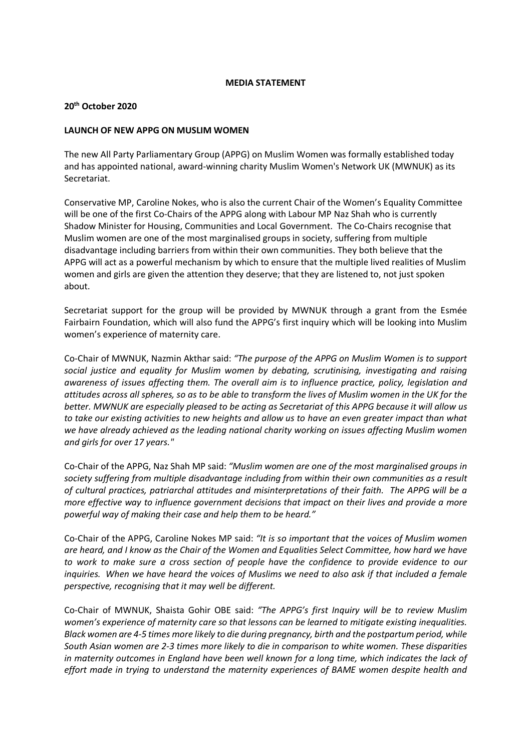## **MEDIA STATEMENT**

## **20th October 2020**

## **LAUNCH OF NEW APPG ON MUSLIM WOMEN**

The new All Party Parliamentary Group (APPG) on Muslim Women was formally established today and has appointed national, award-winning charity Muslim Women's Network UK (MWNUK) as its Secretariat.

Conservative MP, Caroline Nokes, who is also the current Chair of the Women's Equality Committee will be one of the first Co-Chairs of the APPG along with Labour MP Naz Shah who is currently Shadow Minister for Housing, Communities and Local Government. The Co-Chairs recognise that Muslim women are one of the most marginalised groups in society, suffering from multiple disadvantage including barriers from within their own communities. They both believe that the APPG will act as a powerful mechanism by which to ensure that the multiple lived realities of Muslim women and girls are given the attention they deserve; that they are listened to, not just spoken about.

Secretariat support for the group will be provided by MWNUK through a grant from the Esmée Fairbairn Foundation, which will also fund the APPG's first inquiry which will be looking into Muslim women's experience of maternity care.

Co-Chair of MWNUK, Nazmin Akthar said: *"The purpose of the APPG on Muslim Women is to support social justice and equality for Muslim women by debating, scrutinising, investigating and raising awareness of issues affecting them. The overall aim is to influence practice, policy, legislation and attitudes across all spheres, so as to be able to transform the lives of Muslim women in the UK for the better. MWNUK are especially pleased to be acting as Secretariat of this APPG because it will allow us to take our existing activities to new heights and allow us to have an even greater impact than what we have already achieved as the leading national charity working on issues affecting Muslim women and girls for over 17 years."*

Co-Chair of the APPG, Naz Shah MP said: *"Muslim women are one of the most marginalised groups in society suffering from multiple disadvantage including from within their own communities as a result of cultural practices, patriarchal attitudes and misinterpretations of their faith. The APPG will be a more effective way to influence government decisions that impact on their lives and provide a more powerful way of making their case and help them to be heard."*

Co-Chair of the APPG, Caroline Nokes MP said: *"It is so important that the voices of Muslim women are heard, and I know as the Chair of the Women and Equalities Select Committee, how hard we have to work to make sure a cross section of people have the confidence to provide evidence to our inquiries. When we have heard the voices of Muslims we need to also ask if that included a female perspective, recognising that it may well be different.*

Co-Chair of MWNUK, Shaista Gohir OBE said: *"The APPG's first Inquiry will be to review Muslim women's experience of maternity care so that lessons can be learned to mitigate existing inequalities. Black women are 4-5 times more likely to die during pregnancy, birth and the postpartum period, while South Asian women are 2-3 times more likely to die in comparison to white women. These disparities in maternity outcomes in England have been well known for a long time, which indicates the lack of effort made in trying to understand the maternity experiences of BAME women despite health and*